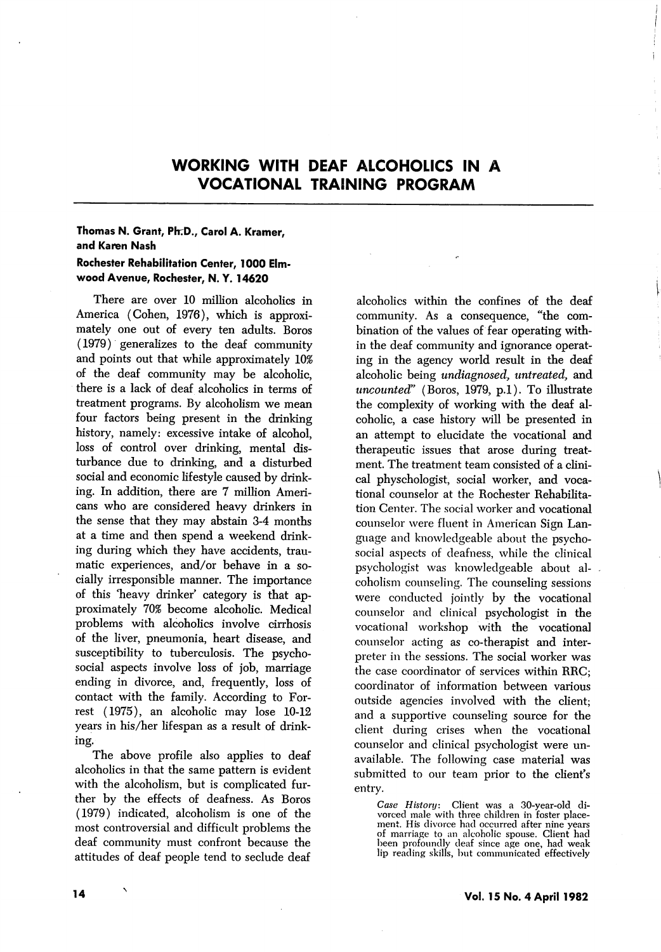## WORKING WITH DEAF ALCOHOLICS IN A VOCATIONAL TRAINING PROGRAM

## Thomas N. Grant, Ph.D., Carol A. Kramer, and Karen Nash Rochester Rehabilitation Center, 1000 Elm-

wood Avenue, Rochester, N. Y. 14620

There are over 10 million alcoholics in America (Cohen, 1976), which is approxi mately one out of every ten adults. Boros (1979) generalizes to the deaf community and points out that while approximately 10% of the deaf community may be alcoholic, there is a lack of deaf alcoholics in terms of treatment programs. By alcoholism we mean four factors being present in the drinking history, namely: excessive intake of alcohol, loss of control over drinking, mental dis turbance due to drinking, and a disturbed social and economic lifestyle caused by drink ing. In addition, there are 7 million Ameri cans who are considered heavy drinkers in the sense that they may abstain 3-4 months at a time and then spend a weekend drink ing during which they have accidents, trau matic experiences, and/or behave in a so cially irresponsible manner. The importance of this 'heavy drinker' category is that ap proximately 70% become alcoholic. Medical problems with alcoholics involve cirrhosis of the liver, pneumonia, heart disease, and susceptibility to tuberculosis. The psychosocial aspects involve loss of job, marriage ending in divorce, and, frequently, loss of contact with the family. According to For rest (1975), an alcoholic may lose 10-12 years in his/her lifespan as a result of drinking.

The above profile also applies to deaf alcoholics in that the same pattern is evident with the alcoholism, but is complicated fur ther by the effects of deafness. As Boros (1979) indicated, alcoholism is one of the most controversial and difficult problems the deaf community must confront because the attitudes of deaf people tend to seclude deaf

alcoholics within the confines of the deaf community. As a consequence, "the com bination of the values of fear operating with in the deaf community and ignorance operat ing in the agency world result in the deaf alcoholic being undiagnosed, untreated, and uncounted" (Boros, 1979, p.l). To illustrate the complexity of working with the deaf al coholic, a case history will be presented in an attempt to elucidate the vocational and therapeutic issues that arose during treat ment. The treatment team consisted of a clini cal physchologist, social worker, and voca tional counselor at the Rochester Rehabilita tion Center. The social worker and vocational counselor were fluent in American Sign Lan guage and knowledgeable about the psychosocial aspects of deafness, while the clinical psychologist was knowledgeable about al coholism counseling. The counseling sessions were conducted jointly by the vocational counselor and clinical psychologist in the vocational workshop with the vocational counselor acting as co-therapist and inter preter in the sessions. The social worker was the case coordinator of services within RRC; coordinator of information between various outside agencies involved with the client; and a supportive counseling source for the client during crises when the vocational counselor and clinical psychologist were un available. The following case material was submitted to our team prior to the client's entry.

Case History: Client was a 30-year-old di vorced male with three children in foster place ment. His divorce had occurred after nine years of marriage to an alcoholic spouse. Client had been profoundly deaf since age one, had weak lip reading skills, but communicated effectively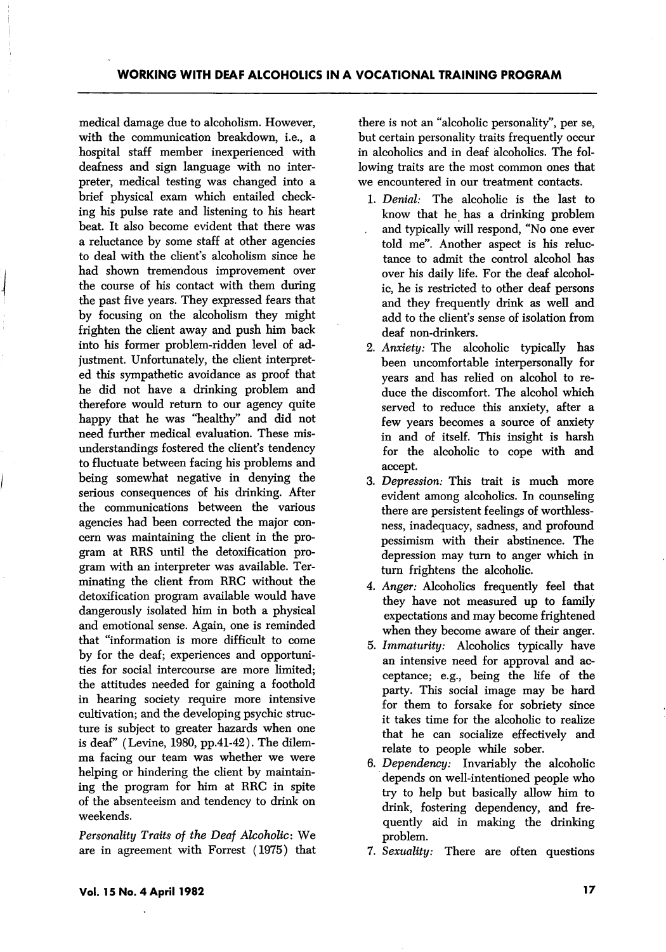medical damage due to alcoholism. However, with the communication breakdown, i.e., a hospital staff member inexperienced with deafness and sign language with no inter preter, medical testing was changed into a brief physical exam which entailed check ing his pulse rate and listening to his heart beat. It also become evident that there was a reluctance by some staff at other agencies to deal with the client's alcoholism since he had shown tremendous improvement over the course of his contact with them during the past five years. They expressed fears that by focusing on the alcoholism they might frighten the client away and push him back into his former problem-ridden level of ad justment. Unfortunately, the client interpreted this sympathetic avoidance as proof that he did not have a drinking problem and therefore would return to our agency quite happy that he was "healthy" and did not need further medical evaluation. These mis understandings fostered the client's tendency to fluctuate between facing his problems and being somewhat negative in denying the serious consequences of his drinking. After the communications between the various agencies had been corrected the major con cern was maintaining the client in the pro gram at RRS until the detoxification pro gram with an interpreter was available. Ter minating the client from RRC without the detoxification program available would have dangerously isolated him in both a physical and emotional sense. Again, one is reminded that "information is more difficult to come by for the deaf; experiences and opportuni ties for social intercourse are more limited; the attitudes needed for gaining a foothold in hearing society require more intensive cultivation; and the developing psychic struc ture is subject to greater hazards when one is deaf" (Levine, 1980, pp.41-42). The dilem ma facing our team was whether we were helping or hindering the client by maintaining the program for him at RRC in spite of the absenteeism and tendency to drink on weekends.

Personality Traits of the Deaf Alcoholic: We are in agreement with Forrest (1975) that there is not an "alcoholic personality", per se, but certain personality traits frequently occur in alcoholics and in deaf ialcoholics. The fol lowing traits are the most common ones that we encountered in our treatment contacts.

- 1. Denial: The alcoholic is the last to know that he has a drinking problem and typically will respond, "No one ever told me". Another aspect is his reluc tance to admit the control alcohol has over his daily life. For the deaf alcohol ic, he is restricted to other deaf persons and they frequently drink as well and add to the client's sense of isolation from deaf non-drinkers.
- 2. Anxiety: The alcoholic typically has been uncomfortable interpersonally for years and has relied on alcohol to re duce the discomfort. The alcohol which served to reduce this anxiety, after a few years becomes a source of anxiety in and of itself. This insight is harsh for the alcoholic to cope with and accept.
- 3. Depression: This trait is much more evident among alcoholics. In counseling there are persistent feelings of worthlessness, inadequacy, sadness, and profound pessimism with their abstinence. The depression may turn to anger which in turn frightens the alcoholic.
- 4. Anger: Alcoholics frequently feel that they have not measured up to family expectations and may become frightened when they become aware of their anger.
- 5. Immaturity: Alcoholics typically have an intensive need for approval and ac ceptance; e.g., being the life of the party. This social image may be hard for them to forsake for sobriety since it takes time for the alcoholic to realize that he can socialize effectively and relate to people while sober.
- 6. Dependency: Invariably the alcoholic depends on well-intentioned people who try to help but basically allow him to drink, fostering dependency, and fre quently aid in making the drinking problem.
- 7. Sexuality: There are often questions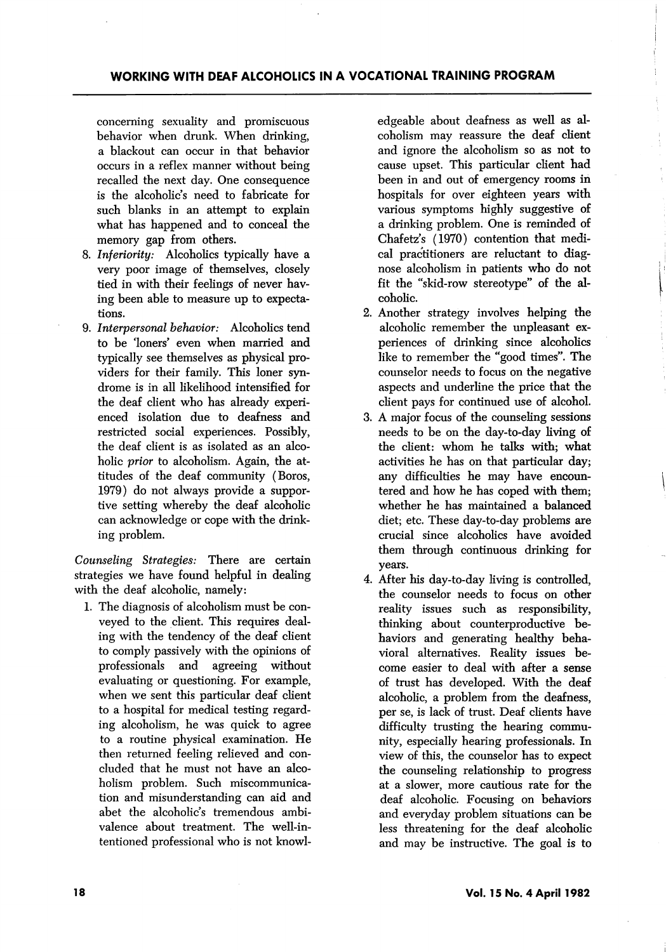concerning sexuality and promiscuous behavior when drunk. When drinking, a blackout can occur in that behavior occurs in a reflex manner without being recalled the next day. One consequence is the alcoholic's need to fabricate for such blanks in an attempt to explain what has happened and to conceal the memory gap from others.

- 8. Inferiority: Alcoholics typically have a very poor image of themselves, closely tied in with their feelings of never hav ing been able to measure up to expecta tions.
- 9. Interpersonal behavior: Alcoholics tend to be 'loners' even when married and typically see themselves as physical pro viders for their family. This loner syn drome is in all likelihood intensified for the deaf client who has already experi enced isolation due to deafness and restricted social experiences. Possibly, the deaf client is as isolated as an alco holic *prior* to alcoholism. Again, the attitudes of the deaf community (Boros, 1979) do not always provide a suppor tive setting whereby the deaf alcoholic can acknowledge or cope with the drink ing problem.

Counseling Strategies: There are certain strategies we have found helpful in dealing with the deaf alcoholic, namely:

1. The diagnosis of alcoholism must be con veyed to the client. This requires deal ing with the tendency of the deaf client to comply passively with the opinions of professionals and agreeing without evaluating or questioning. For example, when we sent this particular deaf client to a hospital for medical testing regard ing alcoholism, he was quick to agree to a routine physical examination. He then returned feeling relieved and con cluded that he must not have an alco holism problem. Such miscommunication and misunderstanding can aid and abet the alcoholic's tremendous ambi valence about treatment. The well-in tentioned professional who is not knowl

edgeable about deafness as well as al coholism may reassure the deaf client and ignore the alcoholism so as not to cause upset. This particular client had been in and out of emergency rooms in hospitals for over eighteen years with various symptoms highly suggestive of a drinking problem. One is reminded of Chafetz's (1970) contention that medi cal practitioners are reluctant to diag nose alcoholism in patients who do not fit the "skid-row stereotype" of the al coholic.

- 2. Another strategy involves helping the alcoholic remember the unpleasant ex periences of drinking since alcoholics like to remember the "good times". The counselor needs to focus on the negative aspects and underline the price that the client pays for continued use of alcohol.
- 3. A major focus of the counseling sessions needs to be on the day-to-day living of the client: whom he talks with; what activities he has on that particular day; any difficulties he may have encoun tered and how he has coped with them; whether he has maintained a balanced diet; etc. These day-to-day problems are crucial since alcoholics have avoided them through continuous drinking for years.
- 4. After his day-to-day living is controlled, the counselor needs to focus on other reality issues such as responsibility, thinking about counterproductive be haviors and generating healthy beha vioral alternatives. Reality issues be come easier to deal with after a sense of trust has developed. With the deaf alcoholic, a problem from the deafness, per se, is lack of trust. Deaf clients have difficulty trusting the hearing commu nity, especially hearing professionals. In view of this, the counselor has to expect the counseling relationship to progress at a slower, more cautious rate for the deaf alcoholic. Focusing on behaviors and everyday problem situations can be less threatening for the deaf alcoholic and may be instructive. The goal is to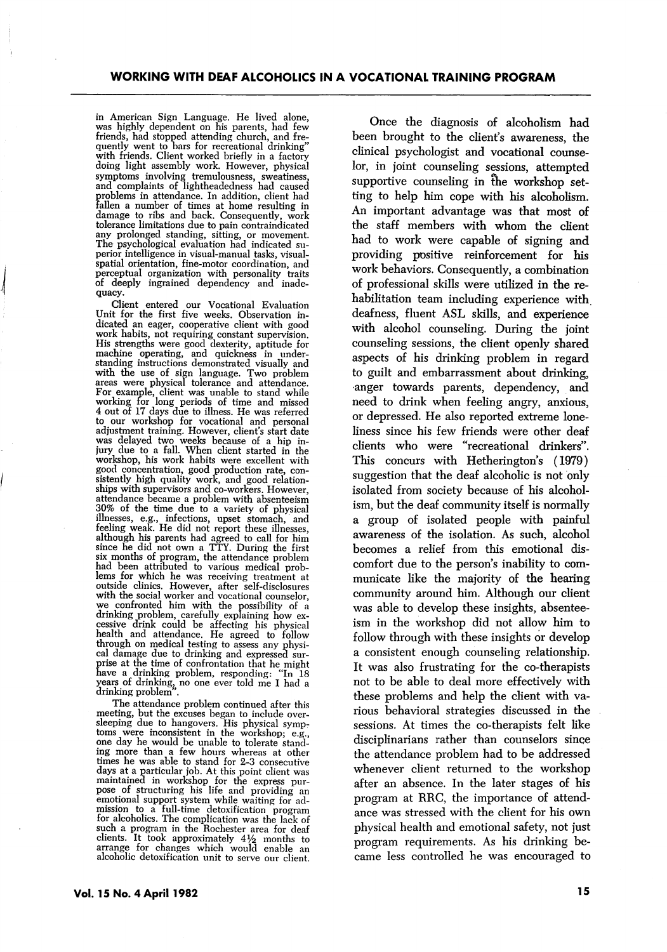in American Sign Language. He lived alone, was highly dependent on his parents, had few friends, had stopped attending church, and fre quently went to bars for recreational drinking" with friends. Client worked briefly in a factory doing light assembly work. However, physical symptoms involving tremulousness, sweatiness, and complaints of lightheadedness had caused problems in attendance. In addition, client had fallen a number of times at home resulting in damage to ribs and back. Consequently, work tolerance limitations due to pain contraindicated any prolonged standing, sitting, or movement. The psychological evaluation had indicated su perior intelligence in visual-manual tasks, visualspatial orientation, fine-motor coordination, and perceptual organization with personality traits of deeply ingrained dependency and inade quacy.

Client entered our Vocational Evaluation Unit for the first five weeks. Observation in-<br>dicated an eager, cooperative client with good<br>work habits, not requiring constant supervision.<br>His strengths were good dexterity, aptitude for<br>machine operating, and quicknes to our workshop for vocational and personal adjustment training. However, client's start date was delayed two weeks because of a hip in jury due to a fall. When client started in the workshop, his work habits were excellent with good concentration, good production rate, con sistently high quality work, and good relation ships with supervisors and co-workers. However, attendance became a problem with absenteeism attendance became a problem with absenteeism<br>30% of the time due to a variety of physical<br>illnesses, e.g., infections, upset stomach, and<br>feeling weak. He did not report these illnesses,<br>although his parents had agreed to outside clinics. However, after self-disclosures with the social worker and vocational counselor, we confronted him with the possibility of a drinking problem, carefully explaining how ex cessive drink could be affecting his physical health and attendance. He agreed to follow through on medical testing to assess any physi cal damage due to drinking and expressed sur prise at the time of confrontation that he might have a drinking problem, responding: "In 18 years of drinking, no one ever told me I had a drinking problem".

The attendance problem continued after this meeting, but the excuses began to include over sleeping due to hangovers. His physical symp toms were inconsistent in the workshop; e.g., one day he would be unable to tolerate stand ing more than a few hours whereas at other times he was able to stand for 2-3 consecutive days at a particular job. At this point client was maintained in workshop for the express pur pose of structuring his life and providing an emotional support system while waiting for ad mission to a full-time detoxification program for alcoholics. The complication was the lack of such a program in the Rochester area for deaf clients. It took approximately 4^/^ months to arrange for changes which would enable an alcoholic detoxification unit to serve our client.

Once the diagnosis of alcoholism had been brought to the client's awareness, the clinical psychologist and vocational counse lor, in joint counseling sessions, attempted supportive counseling in the workshop setting to help him cope with his alcoholism. An important advantage was that most of the staff members with whom the client had to work were capable of signing and providing positive reinforcement for his work behaviors. Consequently, a combination of professional skills were utilized in the re habilitation team including experience with deafness, fluent ASL skills, and experience with alcohol counseling. During the joint counseling sessions, the client openly shared aspects of his drinking problem in regard to guilt and embarrassment about drinking, anger towards parents, dependency, and need to drink when feeling angry, anxious, or depressed. He also reported extreme lone liness since his few friends were other deaf clients who were "recreational drinkers". This concurs with Hetherington's (1979) suggestion that the deaf alcoholic is not only isolated from society because of his alcohol ism, but the deaf community itself is normally a group of isolated people with painful awareness of the isolation. As such, alcohol becomes a relief from this emotional dis comfort due to the person's inability to com municate like the majority of the hearing community around him. Although our client was able to develop these insights, absentee ism in the workshop did not allow him to follow through with these insights or develop a consistent enough counseling relationship. It was also frustrating for the co-therapists not to be able to deal more effectively with these problems and help the client with va rious behavioral strategies discussed in the sessions. At times the co-therapists felt like disciplinarians rather than counselors since the attendance problem had to be addressed whenever client returned to the workshop after an absence. In the later stages of his program at RRC, the importance of attend ance was stressed with the client for his own physical health and emotional safety, not just program requirements. As his drinking be came less controlled he was encouraged to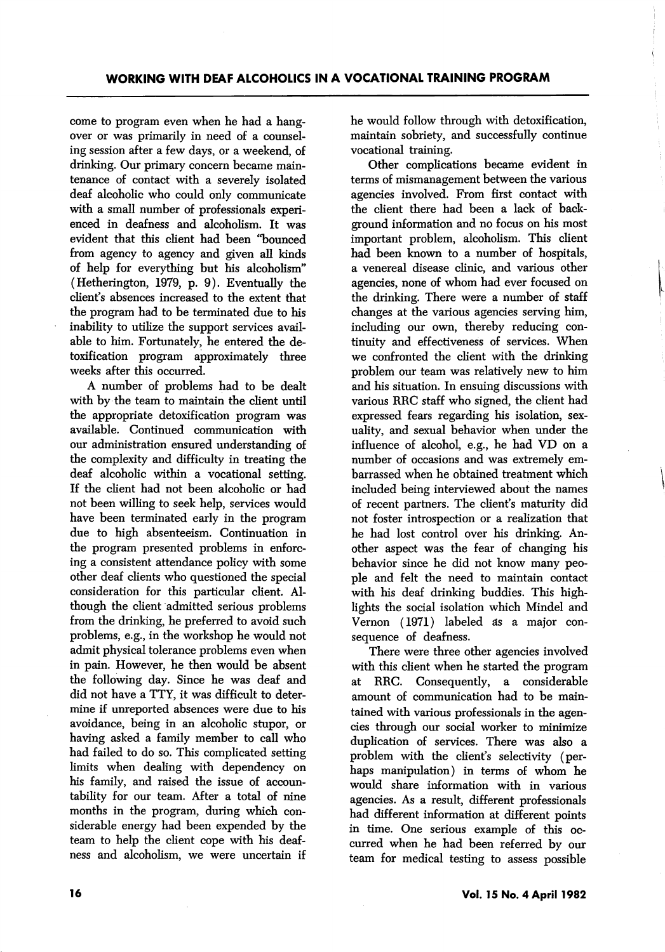come to program even when he had a hang over or was primarily in need of a counsel ing session after a few days, or a weekend, of drinking. Our primary concern became main tenance of contact with a severely isolated deaf alcoholic who could only communicate with a small number of professionals experi enced in deafness and alcoholism. It was evident that this client had been "bounced from agency to agency and given all kinds of help for everything but his alcoholism" (Hetherington, 1979, p. 9). Eventually the client's absences increased to the extent that the program had to be terminated due to his inability to utilize the support services avail able to him. Fortunately, he entered the de toxification program approximately three weeks after this occurred.

A number of problems had to be dealt with by the team to maintain the client until the appropriate detoxification program was available. Continued communication with our administration ensured understanding of the complexity and difficulty in treating the deaf alcoholic within a vocational setting. If the client had not been alcoholic or had not been willing to seek help, services would have been terminated early in the program due to high absenteeism. Continuation in the program presented problems in enforc ing a consistent attendance policy with some other deaf clients who questioned the special consideration for this particular client. Al though the client admitted serious problems from the drinking, he preferred to avoid such problems, e.g., in the workshop he would not admit physical tolerance problems even when in pain. However, he then would be absent the following day. Since he was deaf and did not have a TTY, it was difficult to deter mine if unreported absences were due to his avoidance, being in an alcoholic stupor, or having asked a family member to call who had failed to do so. This complicated setting limits when dealing with dependency on his family, and raised the issue of accoun tability for our team. After a total of nine months in the program, during which con siderable energy had been expended by the team to help the client cope with his deaf ness and alcoholism, we were uncertain if

he would follow through with detoxification, maintain sobriety, and successfully continue vocational training.

Other complications became evident in terms of mismanagement between the various agencies involved. From first contact with the client there had been a lack of back ground information and no focus on his most important problem, alcoholism. This client had been known to a number of hospitals, a venereal disease clinic, and various other agencies, none of whom had ever focused on the drinking. There were a number of staff changes at the various agencies serving him, including our own, thereby reducing con tinuity and effectiveness of services. When we confronted the client with the drinking problem our team was relatively new to him and his situation. In ensuing discussions with. various RRC staff who signed, the client had expressed fears regarding his isolation, sex uality, and sexual behavior when under the influence of alcohol, e.g., he had VD on a number of occasions and was extremely em barrassed when he obtained treatment which included being interviewed about the names of recent partners. The client's maturity did not foster introspection or a realization that he had lost control over his drinking. An other aspect was the fear of changing his behavior since he did not know many peo ple and felt the need to maintain contact with his deaf drinking buddies. This high lights the social isolation which Mindel and Vernon (1971) labeled ds a major con sequence of deafness.

There were three other agencies involved with this client when he started the program at RRC. Consequently, a considerable amount of communication had to be main tained with various professionals in the agen cies through our social worker to minimize duplication of services. There was also a problem with the client's selectivity (per haps manipulation) in terms of whom he would share information with in various agencies. As a result, different professionals had different information at different points in time. One serious example of this oc curred when he had been referred by our team for medical testing to assess possible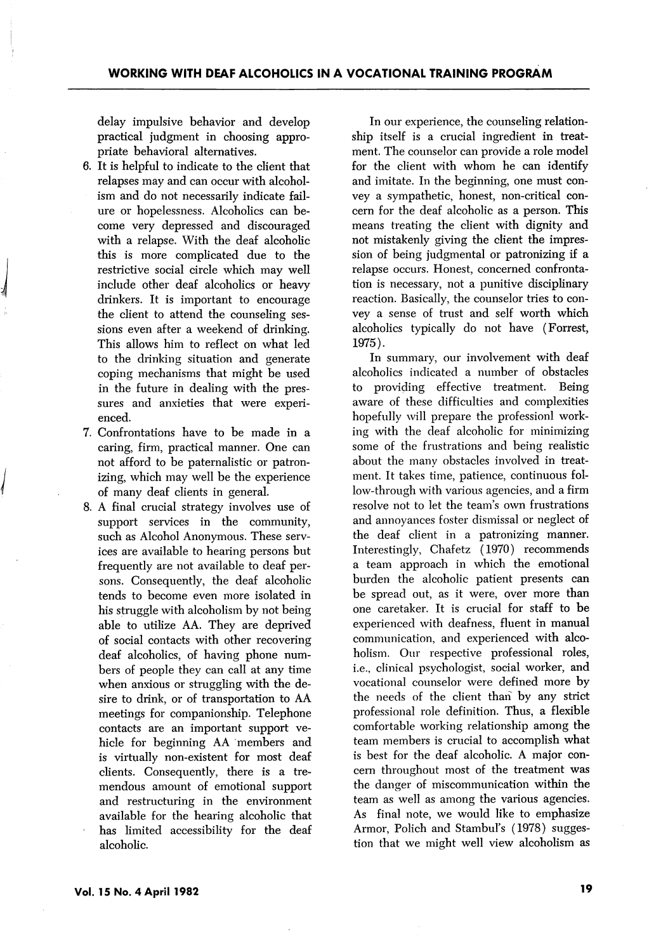delay impulsive behavior and develop practical judgment in choosing appro priate behavioral alternatives.

- 6. It is helpful to indicate to the client that relapses may and can occur with alcohol ism and do not necessarily indicate fail ure or hopelessness. Alcoholics can be come very depressed and discouraged with a relapse. With the deaf alcoholic this is more complicated due to the restrictive social circle which may well include other deaf alcoholics or heavy drinkers. It is important to encourage the client to attend the counseling ses sions even after a weekend of drinking. This allows him to reflect on what led to the drinking situation and generate coping mechanisms that might be used in the future in dealing with the pres sures and anxieties that were experi enced.
- 7. Confrontations have to be made in a caring, firm, practical manner. One can not afford to be paternalistic or patron izing, which may well be the experience of many deaf clients in general.
- 8. A final crucial strategy involves use of support services in the community, such as Alcohol Anonymous. These serv ices are available to hearing persons but frequently are not available to deaf per sons. Consequently, the deaf alcoholic tends to become even more isolated in his struggle with alcoholism by not being able to utilize AA. They are deprived of social contacts with other recovering deaf alcoholics, of having phone num bers of people they can call at any time when anxious or struggling with the de sire to drink, or of transportation to AA meetings for companionship. Telephone contacts are an important support ve hicle for beginning AA members and is virtually non-existent for most deaf clients. Consequently, there is a tre mendous amount of emotional support and restructuring in the environment available for the hearing alcoholic that has limited accessibility for the deaf alcoholic.

In our experience, the counseling relation ship itself is a crucial ingredient in treat ment. The counselor can provide a role model for the client with whom he can identify and imitate. In the beginning, one must con vey a sympathetic, honest, non-critical con cern for the deaf alcoholic as a person. This means treating the client with dignity and not mistakenly giving the client the impres sion of being judgmental or patronizing if a relapse occurs. Honest, concerned confronta tion is necessary, not a punitive disciplinary reaction. Basically, the counselor tries to con vey a sense of trust and self worth which alcoholics typically do not have (Forrest, 1975).

In summary, our involvement with deaf alcoholics indicated a number of obstacles to providing effective treatment. Being aware of these difficulties and complexities hopefully will prepare the professionl work ing with the deaf alcoholic for minimizing some of the frustrations and being realistic about the many obstacles involved in treat ment. It takes time, patience, continuous fol low-through with various agencies, and a firm resolve not to let the team's own frustrations and annoyances foster dismissal or neglect of the deaf client in a patronizing manner. Interestingly, Chafetz (1970) recommends a team approach in which the emotional burden the alcoholic patient presents can be spread out, as it were, over more than one caretaker. It is crucial for staff to be experienced with deafness, fluent in manual communication, and experienced with alco holism. Our respective professional roles, i.e., clinical psychologist, social worker, and vocational counselor were defined more by the needs of the client than by any strict professional role definition. Thus, a flexible comfortable working relationship among the team members is crucial to accomplish what is best for the deaf alcoholic. A major con cern throughout most of the treatment was the danger of miscommunication within the team as well as among the various agencies. As final note, we would like to emphasize Armor, Polich and Stambul's (1978) sugges tion that we might well view alcoholism as